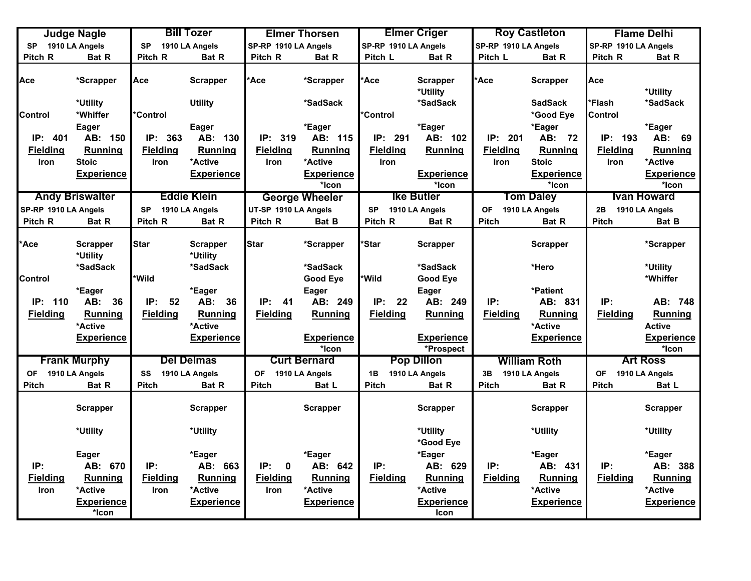|                      | <b>Judge Nagle</b>          |                 | <b>Bill Tozer</b>           |                      | <b>Elmer Thorsen</b>       |                      | <b>Elmer Criger</b>            |                      | <b>Roy Castleton</b>              |                      | <b>Flame Delhi</b>              |
|----------------------|-----------------------------|-----------------|-----------------------------|----------------------|----------------------------|----------------------|--------------------------------|----------------------|-----------------------------------|----------------------|---------------------------------|
| <b>SP</b>            | 1910 LA Angels              | <b>SP</b>       | 1910 LA Angels              | SP-RP 1910 LA Angels |                            | SP-RP 1910 LA Angels |                                | SP-RP 1910 LA Angels |                                   | SP-RP 1910 LA Angels |                                 |
| Pitch R              | Bat R                       | Pitch R         | <b>Bat R</b>                | Pitch R              | Bat R                      | Pitch L              | Bat R                          | Pitch L              | <b>Bat R</b>                      | Pitch R              | Bat R                           |
| Ace                  | *Scrapper                   | Асе             | <b>Scrapper</b>             | *Ace                 | *Scrapper                  | <b>Ace</b>           | <b>Scrapper</b><br>*Utility    | *Ace                 | <b>Scrapper</b><br><b>SadSack</b> | Ace                  | *Utility                        |
|                      | *Utility                    |                 | <b>Utility</b>              |                      | *SadSack                   |                      | *SadSack                       |                      |                                   | *Flash               | *SadSack                        |
| Control              | *Whiffer                    | <b>Control</b>  |                             |                      |                            | *Control             |                                |                      | *Good Eye                         | Control              |                                 |
| IP: 401              | Eager<br>AB: 150            | IP: 363         | <b>Eager</b><br>AB: 130     | IP: 319              | *Eager<br>AB: 115          | IP: 291              | *Eager<br>AB: 102              | IP: 201              | *Eager<br>AB: 72                  | IP: 193              | *Eager<br>AB: 69                |
| <b>Fielding</b>      | Running                     | <b>Fielding</b> | <b>Running</b>              | <b>Fielding</b>      |                            | <b>Fielding</b>      | Running                        | <b>Fielding</b>      | <b>Running</b>                    | <b>Fielding</b>      | <b>Running</b>                  |
|                      | <b>Stoic</b>                |                 | *Active                     |                      | Running<br>*Active         |                      |                                |                      | <b>Stoic</b>                      |                      | *Active                         |
| Iron                 |                             | <b>Iron</b>     |                             | <b>Iron</b>          |                            | <b>Iron</b>          |                                | <b>Iron</b>          |                                   | Iron                 |                                 |
|                      | <b>Experience</b>           |                 | <b>Experience</b>           |                      | <b>Experience</b><br>*Icon |                      | <b>Experience</b><br>*Icon     |                      | <b>Experience</b><br>*Icon        |                      | <b>Experience</b><br>*Icon      |
|                      |                             |                 | <b>Eddie Klein</b>          |                      |                            |                      | <b>Ike Butler</b>              |                      |                                   |                      | <b>Ivan Howard</b>              |
|                      | <b>Andy Briswalter</b>      |                 |                             |                      | <b>George Wheeler</b>      |                      |                                |                      | <b>Tom Daley</b>                  |                      |                                 |
| SP-RP 1910 LA Angels |                             | <b>SP</b>       | 1910 LA Angels              | UT-SP 1910 LA Angels |                            | <b>SP</b>            | 1910 LA Angels                 | <b>OF</b>            | 1910 LA Angels                    | 2B                   | 1910 LA Angels                  |
| Pitch R              | Bat R                       | Pitch R         | Bat R                       | Pitch R              | Bat B                      | Pitch R              | Bat R                          | Pitch                | Bat R                             | Pitch                | Bat B                           |
| 'Ace                 | <b>Scrapper</b><br>*Utility | <b>Star</b>     | <b>Scrapper</b><br>*Utility | <b>Star</b>          | *Scrapper                  | *Star                | <b>Scrapper</b>                |                      | <b>Scrapper</b>                   |                      | *Scrapper                       |
|                      | *SadSack                    |                 | *SadSack                    |                      | *SadSack                   |                      | *SadSack                       |                      | *Hero                             |                      | *Utility                        |
| Control              |                             | *Wild           |                             |                      | <b>Good Eye</b>            | *Wild                | <b>Good Eye</b>                |                      |                                   |                      | *Whiffer                        |
|                      | *Eager                      |                 | *Eager                      |                      | <b>Eager</b>               |                      | Eager                          |                      | *Patient                          |                      |                                 |
| IP: 110              | AB:<br>36                   | IP:<br>52       | AB:<br>36                   | IP:<br>-41           | AB: 249                    | IP:<br>22            | AB: 249                        | IP:                  | AB: 831                           | IP:                  | AB: 748                         |
| <b>Fielding</b>      | Running<br>*Active          | <b>Fielding</b> | Running<br>*Active          | <b>Fielding</b>      | Running                    | <b>Fielding</b>      | Running                        | <b>Fielding</b>      | <b>Running</b><br>*Active         | <b>Fielding</b>      | <b>Running</b><br><b>Active</b> |
|                      | <b>Experience</b>           |                 | <b>Experience</b>           |                      | <b>Experience</b><br>*Icon |                      | <b>Experience</b><br>*Prospect |                      | <b>Experience</b>                 |                      | <b>Experience</b><br>*Icon      |
|                      | <b>Frank Murphy</b>         |                 | <b>Del Delmas</b>           |                      | <b>Curt Bernard</b>        |                      | <b>Pop Dillon</b>              |                      | <b>William Roth</b>               |                      | <b>Art Ross</b>                 |
| <b>OF</b>            | 1910 LA Angels              | SS              | 1910 LA Angels              | <b>OF</b>            | 1910 LA Angels             | 1B                   | 1910 LA Angels                 | 3B                   | 1910 LA Angels                    | <b>OF</b>            | 1910 LA Angels                  |
| <b>Pitch</b>         | Bat R                       | <b>Pitch</b>    | Bat R                       | <b>Pitch</b>         | Bat L                      | <b>Pitch</b>         | Bat R                          | Pitch                | Bat R                             | <b>Pitch</b>         | Bat L                           |
|                      | <b>Scrapper</b>             |                 | <b>Scrapper</b>             |                      | <b>Scrapper</b>            |                      | <b>Scrapper</b>                |                      | <b>Scrapper</b>                   |                      | <b>Scrapper</b>                 |
|                      | *Utility                    |                 | *Utility                    |                      |                            |                      | *Utility<br>*Good Eye          |                      | *Utility                          |                      | *Utility                        |
|                      | Eager                       |                 | *Eager                      |                      | *Eager                     |                      | *Eager                         |                      | *Eager                            |                      | *Eager                          |
| IP:                  | AB: 670                     | IP:             | AB: 663                     | IP:<br>$\mathbf 0$   | AB: 642                    | IP:                  | AB: 629                        | IP:                  | AB: 431                           | IP:                  | AB: 388                         |
| <b>Fielding</b>      | <b>Running</b>              | <b>Fielding</b> | <b>Running</b>              | <b>Fielding</b>      | Running                    | <b>Fielding</b>      | <b>Running</b>                 | <b>Fielding</b>      | <b>Running</b>                    | <b>Fielding</b>      | <b>Running</b>                  |
| Iron                 | *Active                     | Iron            | *Active                     | Iron                 | *Active                    |                      | *Active                        |                      | *Active                           |                      | *Active                         |
|                      | <b>Experience</b><br>*Icon  |                 | <b>Experience</b>           |                      | <b>Experience</b>          |                      | <b>Experience</b><br>Icon      |                      | <b>Experience</b>                 |                      | <b>Experience</b>               |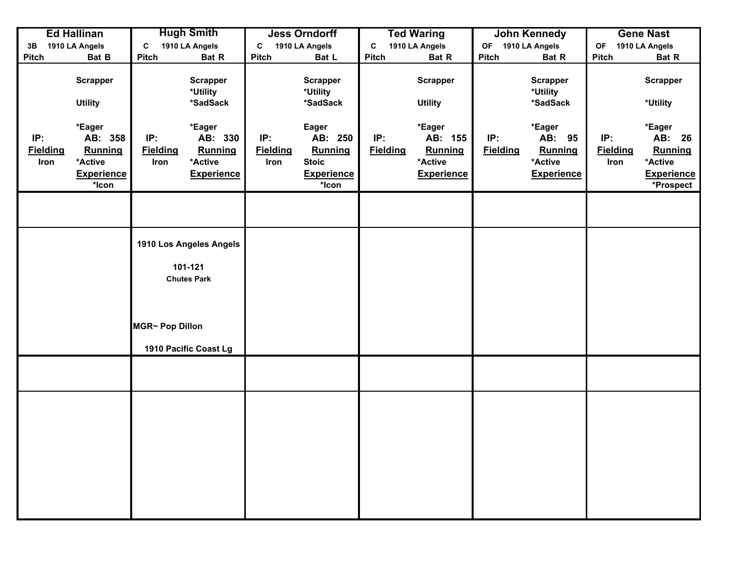|                                | <b>Ed Hallinan</b>                                                    |                                | <b>Hugh Smith</b>                                                                 |                                | <b>Jess Orndorff</b>                                                      |                        | <b>Ted Waring</b>                                            |                        | <b>John Kennedy</b>                                         |                                | <b>Gene Nast</b>                                                         |
|--------------------------------|-----------------------------------------------------------------------|--------------------------------|-----------------------------------------------------------------------------------|--------------------------------|---------------------------------------------------------------------------|------------------------|--------------------------------------------------------------|------------------------|-------------------------------------------------------------|--------------------------------|--------------------------------------------------------------------------|
| 3B                             | 1910 LA Angels                                                        | C                              | 1910 LA Angels                                                                    | C                              | 1910 LA Angels                                                            | C                      | 1910 LA Angels                                               | OF                     | 1910 LA Angels                                              | <b>OF</b>                      | 1910 LA Angels                                                           |
| Pitch                          | Bat B                                                                 | Pitch                          | Bat R                                                                             | Pitch                          | Bat L                                                                     | Pitch                  | Bat R                                                        | Pitch                  | Bat R                                                       | Pitch                          | Bat R                                                                    |
|                                | <b>Scrapper</b><br><b>Utility</b>                                     |                                | <b>Scrapper</b><br>*Utility<br>*SadSack                                           |                                | <b>Scrapper</b><br>*Utility<br>*SadSack                                   |                        | <b>Scrapper</b><br><b>Utility</b>                            |                        | <b>Scrapper</b><br>*Utility<br>*SadSack                     |                                | <b>Scrapper</b><br>*Utility                                              |
| IP:<br><b>Fielding</b><br>Iron | *Eager<br>AB: 358<br>Running<br>*Active<br><b>Experience</b><br>*Icon | IP:<br><b>Fielding</b><br>Iron | *Eager<br>AB: 330<br>Running<br>*Active<br><b>Experience</b>                      | IP:<br><b>Fielding</b><br>Iron | Eager<br>AB: 250<br>Running<br><b>Stoic</b><br><b>Experience</b><br>*Icon | IP:<br><b>Fielding</b> | *Eager<br>AB: 155<br>Running<br>*Active<br><b>Experience</b> | IP:<br><b>Fielding</b> | *Eager<br>AB: 95<br>Running<br>*Active<br><b>Experience</b> | IP:<br><b>Fielding</b><br>Iron | *Eager<br>AB: 26<br>Running<br>*Active<br><b>Experience</b><br>*Prospect |
|                                |                                                                       |                                |                                                                                   |                                |                                                                           |                        |                                                              |                        |                                                             |                                |                                                                          |
|                                |                                                                       | MGR~ Pop Dillon                | 1910 Los Angeles Angels<br>101-121<br><b>Chutes Park</b><br>1910 Pacific Coast Lg |                                |                                                                           |                        |                                                              |                        |                                                             |                                |                                                                          |
|                                |                                                                       |                                |                                                                                   |                                |                                                                           |                        |                                                              |                        |                                                             |                                |                                                                          |
|                                |                                                                       |                                |                                                                                   |                                |                                                                           |                        |                                                              |                        |                                                             |                                |                                                                          |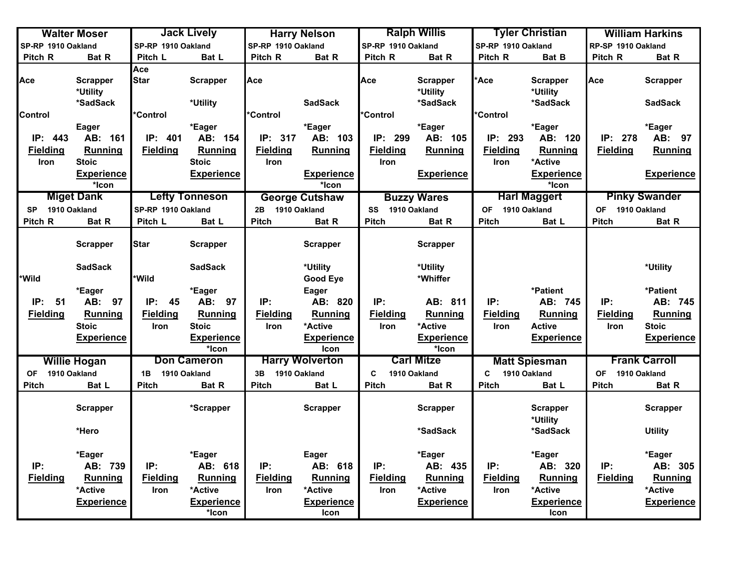|                    | <b>Walter Moser</b>                     |                    | <b>Jack Lively</b>          |                    | <b>Harry Nelson</b>       |                    | <b>Ralph Willis</b>                     |                           | <b>Tyler Christian</b>                  |                           | <b>William Harkins</b>            |
|--------------------|-----------------------------------------|--------------------|-----------------------------|--------------------|---------------------------|--------------------|-----------------------------------------|---------------------------|-----------------------------------------|---------------------------|-----------------------------------|
| SP-RP 1910 Oakland |                                         | SP-RP 1910 Oakland |                             | SP-RP 1910 Oakland |                           | SP-RP 1910 Oakland |                                         | SP-RP 1910 Oakland        |                                         | RP-SP 1910 Oakland        |                                   |
| Pitch R            | Bat R                                   | Pitch L            | Bat L                       | Pitch R            | Bat R                     | Pitch R            | Bat R                                   | Pitch R                   | Bat B                                   | Pitch R                   | Bat R                             |
| Ace                | <b>Scrapper</b><br>*Utility<br>*SadSack | Ace<br><b>Star</b> | <b>Scrapper</b><br>*Utility | Ace                | <b>SadSack</b>            | Ace                | <b>Scrapper</b><br>*Utility<br>*SadSack | *Ace                      | <b>Scrapper</b><br>*Utility<br>*SadSack | Ace                       | <b>Scrapper</b><br><b>SadSack</b> |
| Control            |                                         | *Control           |                             | *Control           |                           | *Control           |                                         | *Control                  |                                         |                           |                                   |
|                    | Eager                                   |                    | *Eager                      |                    | *Eager                    |                    | *Eager                                  |                           | *Eager                                  |                           | *Eager                            |
| IP: 443            | AB: 161                                 | IP: 401            | AB: 154                     | IP: 317            | AB: 103                   | IP: 299            | AB: 105                                 | IP: 293                   | AB: 120                                 | IP: 278                   | AB: 97                            |
| <b>Fielding</b>    | Running                                 | <b>Fielding</b>    | Running                     | <b>Fielding</b>    | Running                   | <b>Fielding</b>    | Running                                 | <b>Fielding</b>           | <b>Running</b>                          | <b>Fielding</b>           | Running                           |
| Iron               | <b>Stoic</b>                            |                    | <b>Stoic</b>                | <b>Iron</b>        |                           | <b>Iron</b>        |                                         | Iron                      | *Active                                 |                           |                                   |
|                    | <b>Experience</b>                       |                    | <b>Experience</b>           |                    | <b>Experience</b>         |                    | <b>Experience</b>                       |                           | <b>Experience</b>                       |                           | <b>Experience</b>                 |
|                    | *Icon                                   |                    |                             |                    | *Icon                     |                    |                                         |                           | *Icon                                   |                           |                                   |
|                    | <b>Miget Dank</b>                       |                    | <b>Lefty Tonneson</b>       |                    | <b>George Cutshaw</b>     |                    | <b>Buzzy Wares</b>                      |                           | <b>Harl Maggert</b>                     |                           | <b>Pinky Swander</b>              |
| <b>SP</b>          | 1910 Oakland                            | SP-RP 1910 Oakland |                             | 2B 1910 Oakland    |                           | SS 1910 Oakland    |                                         | 1910 Oakland<br><b>OF</b> |                                         | OF 1910 Oakland           |                                   |
| Pitch R            | <b>Bat R</b>                            | Pitch L            | Bat L                       | <b>Pitch</b>       | Bat R                     | Pitch              | Bat R                                   | Pitch                     | Bat L                                   | <b>Pitch</b>              | Bat R                             |
|                    | <b>Scrapper</b>                         | <b>Star</b>        | <b>Scrapper</b>             |                    | <b>Scrapper</b>           |                    | <b>Scrapper</b>                         |                           |                                         |                           |                                   |
|                    | <b>SadSack</b>                          |                    | <b>SadSack</b>              |                    | *Utility                  |                    | *Utility                                |                           |                                         |                           | *Utility                          |
| <b>Wild</b>        |                                         | <b>Wild</b>        |                             |                    | <b>Good Eye</b>           |                    | *Whiffer                                |                           |                                         |                           |                                   |
|                    | *Eager                                  |                    | *Eager                      |                    | <b>Eager</b>              |                    |                                         |                           | *Patient                                |                           | *Patient                          |
| IP:<br>51          | AB: 97                                  | IP:<br>45          | AB: 97                      | IP:                | AB: 820                   | IP:                | AB: 811                                 | IP:                       | AB: 745                                 | IP:                       | AB: 745                           |
| <b>Fielding</b>    | <b>Running</b>                          | <b>Fielding</b>    | Running                     | <b>Fielding</b>    | Running                   | <b>Fielding</b>    | Running                                 | <b>Fielding</b>           | Running                                 | <b>Fielding</b>           | <b>Running</b>                    |
|                    | <b>Stoic</b>                            | Iron               | <b>Stoic</b>                | Iron               | *Active                   | Iron               | *Active                                 | Iron                      | <b>Active</b>                           | Iron                      | <b>Stoic</b>                      |
|                    | <b>Experience</b>                       |                    | <b>Experience</b><br>*Icon  |                    | <b>Experience</b><br>Icon |                    | <b>Experience</b><br>*Icon              |                           | <b>Experience</b>                       |                           | <b>Experience</b>                 |
|                    | <b>Willie Hogan</b>                     |                    | <b>Don Cameron</b>          |                    | <b>Harry Wolverton</b>    |                    | <b>Carl Mitze</b>                       |                           | <b>Matt Spiesman</b>                    |                           | <b>Frank Carroll</b>              |
| <b>OF</b>          | 1910 Oakland                            | 1B                 | 1910 Oakland                | 3B                 | 1910 Oakland              | C                  | 1910 Oakland                            | C                         | 1910 Oakland                            | 1910 Oakland<br><b>OF</b> |                                   |
| Pitch              | Bat L                                   | <b>Pitch</b>       | Bat R                       | <b>Pitch</b>       | Bat L                     | Pitch              | Bat R                                   | <b>Pitch</b>              | Bat L                                   | <b>Pitch</b>              | Bat R                             |
|                    | <b>Scrapper</b>                         |                    | *Scrapper                   |                    | <b>Scrapper</b>           |                    | <b>Scrapper</b>                         |                           | <b>Scrapper</b><br>*Utility             |                           | <b>Scrapper</b>                   |
|                    | *Hero                                   |                    |                             |                    |                           |                    | *SadSack                                |                           | *SadSack                                |                           | <b>Utility</b>                    |
|                    | *Eager                                  |                    | *Eager                      |                    | Eager                     |                    | *Eager                                  |                           | *Eager                                  |                           | *Eager                            |
| IP:                | AB: 739                                 | IP:                | AB: 618                     | IP:                | AB: 618                   | IP:                | AB: 435                                 | IP:                       | AB: 320                                 | IP:                       | AB: 305                           |
| <b>Fielding</b>    | <b>Running</b>                          | <b>Fielding</b>    | Running                     | <b>Fielding</b>    | Running                   | <b>Fielding</b>    | Running                                 | <b>Fielding</b>           | <b>Running</b>                          | <b>Fielding</b>           | <b>Running</b>                    |
|                    | *Active                                 | Iron               | *Active                     | Iron               | *Active                   | Iron               | *Active                                 | <b>Iron</b>               | *Active                                 |                           | *Active                           |
|                    | <b>Experience</b>                       |                    | <b>Experience</b><br>*Icon  |                    | <b>Experience</b><br>Icon |                    | <b>Experience</b>                       |                           | <b>Experience</b><br>Icon               |                           | <b>Experience</b>                 |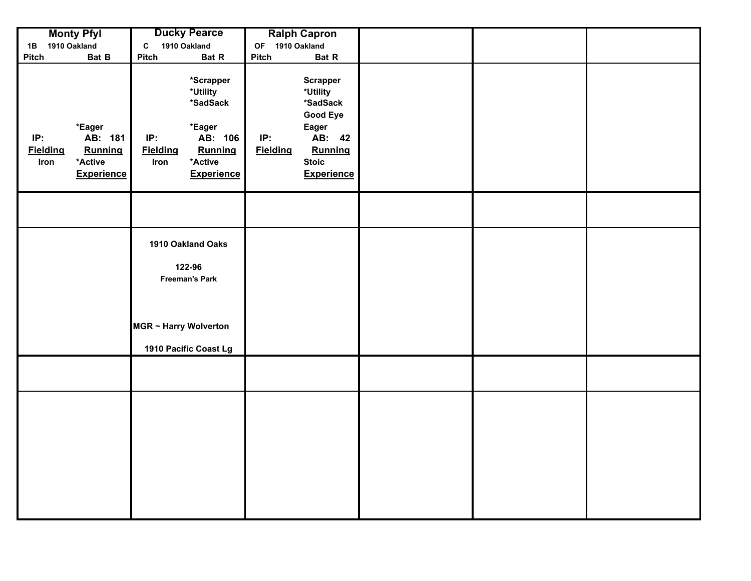|                                | <b>Monty Pfyl</b>                                            | <b>Ducky Pearce</b>                                                                                    |                                                                  |                        | <b>Ralph Capron</b>                                                                                                           |  |  |
|--------------------------------|--------------------------------------------------------------|--------------------------------------------------------------------------------------------------------|------------------------------------------------------------------|------------------------|-------------------------------------------------------------------------------------------------------------------------------|--|--|
| 1B                             | 1910 Oakland                                                 | 1910 Oakland<br>$\mathbf{C}$                                                                           |                                                                  | OF 1910 Oakland        |                                                                                                                               |  |  |
| Pitch                          | Bat B                                                        | Pitch                                                                                                  | Bat R                                                            | Pitch                  | Bat R                                                                                                                         |  |  |
| IP:<br><b>Fielding</b><br>Iron | *Eager<br>AB: 181<br>Running<br>*Active<br><b>Experience</b> | *Utility<br>*Eager<br>IP:<br><b>Fielding</b><br>*Active<br>Iron                                        | *Scrapper<br>*SadSack<br>AB: 106<br>Running<br><b>Experience</b> | IP:<br><b>Fielding</b> | <b>Scrapper</b><br>*Utility<br>*SadSack<br><b>Good Eye</b><br>Eager<br>AB: 42<br>Running<br><b>Stoic</b><br><b>Experience</b> |  |  |
|                                |                                                              |                                                                                                        |                                                                  |                        |                                                                                                                               |  |  |
|                                |                                                              | 1910 Oakland Oaks<br>122-96<br><b>Freeman's Park</b><br>MGR ~ Harry Wolverton<br>1910 Pacific Coast Lg |                                                                  |                        |                                                                                                                               |  |  |
|                                |                                                              |                                                                                                        |                                                                  |                        |                                                                                                                               |  |  |
|                                |                                                              |                                                                                                        |                                                                  |                        |                                                                                                                               |  |  |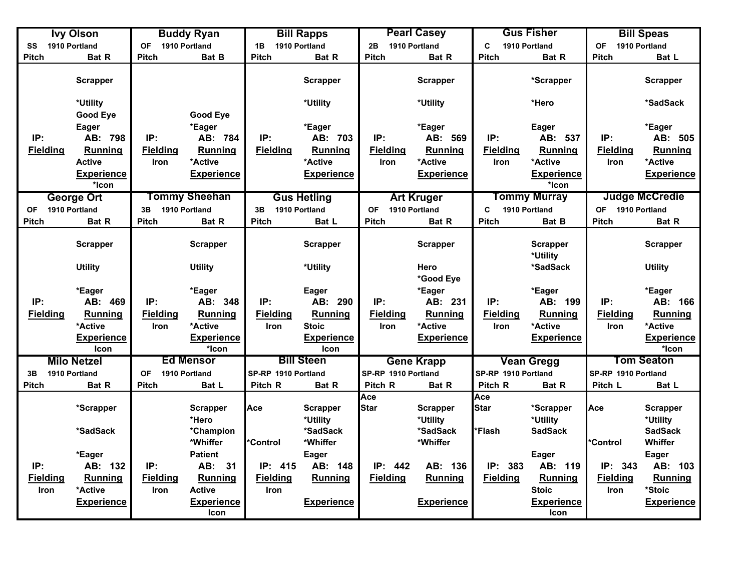|                 | <b>Ivy Olson</b>                |                                | <b>Buddy Ryan</b>          |                     | <b>Bill Rapps</b>                |                                | <b>Pearl Casey</b>        |                                | <b>Gus Fisher</b>           |                            | <b>Bill Speas</b>          |
|-----------------|---------------------------------|--------------------------------|----------------------------|---------------------|----------------------------------|--------------------------------|---------------------------|--------------------------------|-----------------------------|----------------------------|----------------------------|
| SS              | 1910 Portland                   | <b>OF</b>                      | 1910 Portland              | 1B                  | 1910 Portland                    | 2B                             | 1910 Portland             | C                              | 1910 Portland               | <b>OF</b><br>1910 Portland |                            |
| Pitch           | Bat R                           | <b>Pitch</b>                   | Bat B                      | <b>Pitch</b>        | <b>Bat R</b>                     | <b>Pitch</b>                   | <b>Bat R</b>              | <b>Pitch</b>                   | Bat R                       | <b>Pitch</b>               | Bat L                      |
|                 | Scrapper                        |                                |                            |                     | <b>Scrapper</b>                  |                                | Scrapper                  |                                | *Scrapper                   |                            | <b>Scrapper</b>            |
|                 | *Utility                        |                                |                            |                     | *Utility                         |                                | *Utility                  |                                | *Hero                       |                            | *SadSack                   |
|                 | <b>Good Eye</b>                 |                                | <b>Good Eye</b>            |                     |                                  |                                |                           |                                |                             |                            |                            |
| IP:             | <b>Eager</b>                    | IP:                            | *Eager                     | IP:                 | *Eager<br>AB: 703                | IP:                            | *Eager<br>AB: 569         | IP:                            | <b>Eager</b><br>AB: 537     | IP:                        | *Eager<br>AB: 505          |
|                 | AB: 798                         |                                | AB: 784                    | <b>Fielding</b>     |                                  |                                |                           |                                |                             |                            |                            |
| <b>Fielding</b> | <b>Running</b><br><b>Active</b> | <b>Fielding</b><br><b>Iron</b> | Running<br>*Active         |                     | Running<br>*Active               | <b>Fielding</b><br><b>Iron</b> | <b>Running</b><br>*Active | <b>Fielding</b><br><b>Iron</b> | <b>Running</b><br>*Active   | <b>Fielding</b>            | <b>Running</b><br>*Active  |
|                 | <b>Experience</b>               |                                | <b>Experience</b>          |                     | <b>Experience</b>                |                                | <b>Experience</b>         |                                | <b>Experience</b>           | Iron                       | <b>Experience</b>          |
|                 | *Icon                           |                                |                            |                     |                                  |                                |                           |                                | *Icon                       |                            |                            |
|                 | <b>George Ort</b>               |                                | Tommy Sheehan              |                     | <b>Gus Hetling</b>               |                                | <b>Art Kruger</b>         |                                | <b>Tommy Murray</b>         |                            | <b>Judge McCredie</b>      |
| OF              | 1910 Portland                   | 3B                             | 1910 Portland              | 3B                  | 1910 Portland                    | <b>OF</b>                      | 1910 Portland             | C                              | 1910 Portland               | 1910 Portland<br><b>OF</b> |                            |
| <b>Pitch</b>    | Bat R                           | <b>Pitch</b>                   | Bat R                      | <b>Pitch</b>        | Bat L                            | Pitch                          | Bat R                     | Pitch                          | Bat B                       | <b>Pitch</b>               | Bat R                      |
|                 |                                 |                                |                            |                     |                                  |                                |                           |                                |                             |                            |                            |
|                 | <b>Scrapper</b>                 |                                | <b>Scrapper</b>            |                     | <b>Scrapper</b>                  |                                | Scrapper                  |                                | <b>Scrapper</b><br>*Utility |                            | <b>Scrapper</b>            |
|                 | <b>Utility</b>                  |                                | <b>Utility</b>             |                     | *Utility                         |                                | Hero<br>*Good Eye         |                                | *SadSack                    |                            | <b>Utility</b>             |
|                 | *Eager                          |                                | *Eager                     |                     | Eager                            |                                | *Eager                    |                                | *Eager                      |                            | *Eager                     |
| IP:             | AB: 469                         | IP:                            | AB: 348                    | IP:                 | AB: 290                          | IP:                            | AB: 231                   | IP:                            | AB: 199                     | IP:                        | AB: 166                    |
| <b>Fielding</b> | <b>Running</b>                  | <b>Fielding</b>                | Running                    | <b>Fielding</b>     | Running                          | <b>Fielding</b>                | Running                   | <b>Fielding</b>                | Running                     | <b>Fielding</b>            | <b>Running</b>             |
|                 | *Active                         | Iron                           | *Active                    | Iron                | <b>Stoic</b>                     | Iron                           | *Active                   | Iron                           | *Active                     | Iron                       | *Active                    |
|                 | <b>Experience</b><br>Icon       |                                | <b>Experience</b><br>*Icon |                     | <b>Experience</b><br><b>Icon</b> |                                | <b>Experience</b>         |                                | <b>Experience</b>           |                            | <b>Experience</b><br>*Icon |
|                 | <b>Milo Netzel</b>              |                                | <b>Ed Mensor</b>           |                     | <b>Bill Steen</b>                |                                | <b>Gene Krapp</b>         |                                | <b>Vean Gregg</b>           |                            | <b>Tom Seaton</b>          |
| 3B              | 1910 Portland                   | <b>OF</b>                      | 1910 Portland              | SP-RP 1910 Portland |                                  | SP-RP 1910 Portland            |                           | SP-RP 1910 Portland            |                             | SP-RP 1910 Portland        |                            |
| Pitch           | Bat R                           | <b>Pitch</b>                   | Bat L                      | Pitch R             | Bat R                            | Pitch R                        | Bat R                     | Pitch R                        | Bat R                       | Pitch L                    | Bat L                      |
|                 |                                 |                                |                            |                     |                                  | Ace                            |                           | Ace                            |                             |                            |                            |
|                 | *Scrapper                       |                                | <b>Scrapper</b>            | Ace                 | <b>Scrapper</b>                  | <b>Star</b>                    | <b>Scrapper</b>           | <b>Star</b>                    | *Scrapper                   | Ace                        | <b>Scrapper</b>            |
|                 |                                 |                                | *Hero                      |                     | *Utility                         |                                | *Utility                  |                                | *Utility                    |                            | *Utility                   |
|                 | *SadSack                        |                                | *Champion                  |                     | *SadSack                         |                                | *SadSack                  | *Flash                         | <b>SadSack</b>              |                            | <b>SadSack</b>             |
|                 |                                 |                                | *Whiffer                   | *Control            | *Whiffer                         |                                | *Whiffer                  |                                |                             | *Control                   | Whiffer                    |
|                 | *Eager                          |                                | <b>Patient</b>             |                     | <b>Eager</b>                     |                                |                           |                                | <b>Eager</b>                |                            | <b>Eager</b>               |
| IP:             | AB: 132                         | IP:                            | AB: 31                     | IP: 415             | AB: 148                          | IP: 442                        | AB: 136                   | IP: 383                        | AB: 119                     | IP: 343                    | AB: 103                    |
| <b>Fielding</b> | <b>Running</b>                  | <b>Fielding</b>                | Running                    | <b>Fielding</b>     | Running                          | <b>Fielding</b>                | <b>Running</b>            | <b>Fielding</b>                | <b>Running</b>              | <b>Fielding</b>            | <b>Running</b>             |
| Iron            | *Active                         | Iron                           | <b>Active</b>              | Iron                |                                  |                                |                           |                                | <b>Stoic</b>                | Iron                       | *Stoic                     |
|                 | <b>Experience</b>               |                                | <b>Experience</b><br>Icon  |                     | <b>Experience</b>                |                                | <b>Experience</b>         |                                | <b>Experience</b><br>Icon   |                            | <b>Experience</b>          |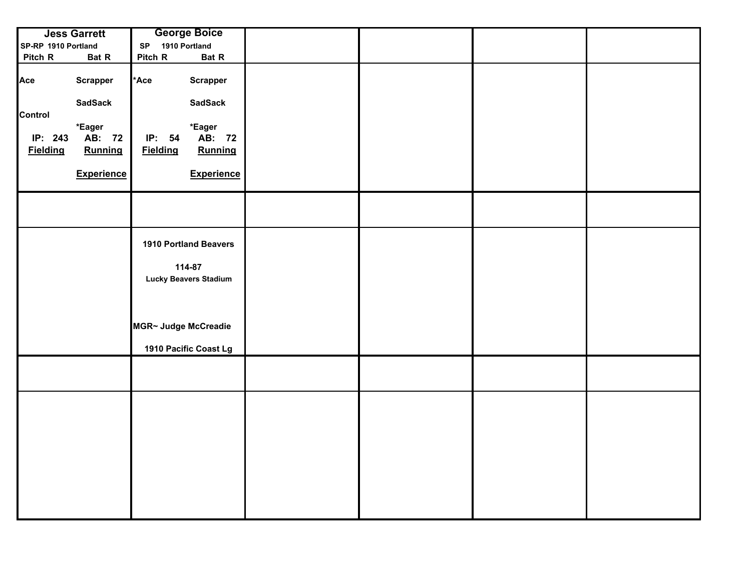|                            | <b>Jess Garrett</b>         | <b>George Boice</b>                    |                   |  |  |
|----------------------------|-----------------------------|----------------------------------------|-------------------|--|--|
| SP-RP 1910 Portland        |                             | 1910 Portland<br>SP                    |                   |  |  |
| Pitch R                    | Bat R                       | Pitch R                                | Bat R             |  |  |
| Ace                        | <b>Scrapper</b>             | *Ace<br><b>Scrapper</b>                |                   |  |  |
| Control                    | <b>SadSack</b>              | <b>SadSack</b>                         |                   |  |  |
| IP: 243<br><b>Fielding</b> | *Eager<br>AB: 72<br>Running | *Eager<br>IP: 54<br><b>Fielding</b>    | AB: 72<br>Running |  |  |
|                            | <b>Experience</b>           |                                        | <b>Experience</b> |  |  |
|                            |                             |                                        |                   |  |  |
|                            |                             | <b>1910 Portland Beavers</b>           |                   |  |  |
|                            |                             | 114-87<br><b>Lucky Beavers Stadium</b> |                   |  |  |
|                            |                             |                                        |                   |  |  |
|                            |                             | MGR~ Judge McCreadie                   |                   |  |  |
|                            |                             | 1910 Pacific Coast Lg                  |                   |  |  |
|                            |                             |                                        |                   |  |  |
|                            |                             |                                        |                   |  |  |
|                            |                             |                                        |                   |  |  |
|                            |                             |                                        |                   |  |  |
|                            |                             |                                        |                   |  |  |
|                            |                             |                                        |                   |  |  |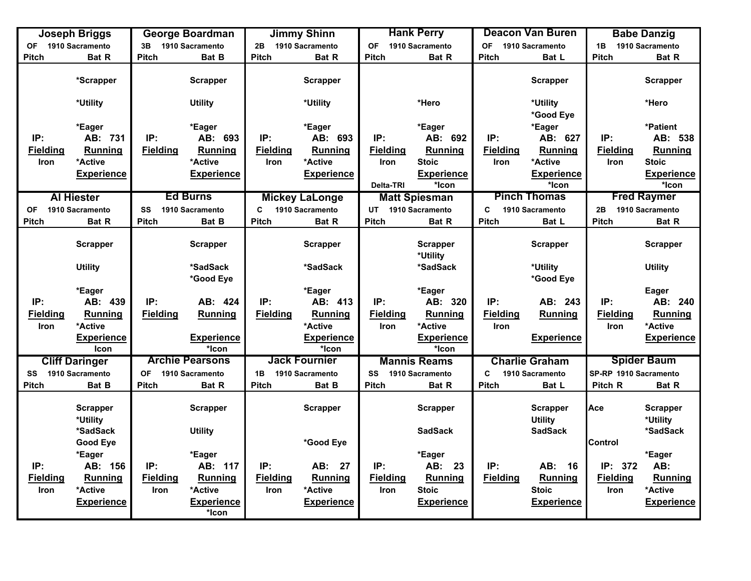|                 | <b>Joseph Briggs</b>                    |                 | <b>George Boardman</b>            |                 | <b>Jimmy Shinn</b>    |                    | <b>Hank Perry</b>                 |                 | <b>Deacon Van Buren</b>                             |                       | <b>Babe Danzig</b>                      |
|-----------------|-----------------------------------------|-----------------|-----------------------------------|-----------------|-----------------------|--------------------|-----------------------------------|-----------------|-----------------------------------------------------|-----------------------|-----------------------------------------|
| <b>OF</b>       | 1910 Sacramento                         | 3B              | 1910 Sacramento                   | 2B              | 1910 Sacramento       | <b>OF</b>          | 1910 Sacramento                   | <b>OF</b>       | 1910 Sacramento                                     | 1B                    | 1910 Sacramento                         |
| <b>Pitch</b>    | <b>Bat R</b>                            | <b>Pitch</b>    | <b>Bat B</b>                      | <b>Pitch</b>    | <b>Bat R</b>          | <b>Pitch</b>       | <b>Bat R</b>                      | <b>Pitch</b>    | Bat L                                               | <b>Pitch</b>          | <b>Bat R</b>                            |
|                 | *Scrapper                               |                 | <b>Scrapper</b>                   |                 | <b>Scrapper</b>       |                    |                                   |                 | <b>Scrapper</b>                                     |                       | <b>Scrapper</b>                         |
|                 | *Utility                                |                 | <b>Utility</b>                    |                 | *Utility              |                    | *Hero                             |                 | *Utility<br>*Good Eye                               |                       | *Hero                                   |
|                 | *Eager                                  |                 | *Eager                            |                 | *Eager                |                    | *Eager                            |                 | *Eager                                              |                       | *Patient                                |
| IP:             | AB: 731                                 | IP:             | AB: 693                           | IP:             | AB: 693               | IP:                | AB: 692                           | IP:             | AB: 627                                             | IP:                   | AB: 538                                 |
| <b>Fielding</b> | <b>Running</b>                          | <b>Fielding</b> | <b>Running</b>                    | <b>Fielding</b> | <b>Running</b>        | <b>Fielding</b>    | <b>Running</b>                    | <b>Fielding</b> | <b>Running</b>                                      | <b>Fielding</b>       | <b>Running</b>                          |
| Iron            | *Active                                 |                 | *Active                           | Iron            | *Active               | Iron               | <b>Stoic</b>                      | Iron            | *Active                                             | Iron                  | <b>Stoic</b>                            |
|                 | <b>Experience</b>                       |                 | <b>Experience</b>                 |                 | <b>Experience</b>     |                    | <b>Experience</b>                 |                 | <b>Experience</b>                                   |                       | <b>Experience</b>                       |
|                 |                                         |                 |                                   |                 |                       | Delta-TRI          | *Icon                             |                 | *Icon                                               |                       | *Icon                                   |
|                 | <b>Al Hiester</b>                       |                 | <b>Ed Burns</b>                   |                 | <b>Mickey LaLonge</b> |                    | <b>Matt Spiesman</b>              |                 | <b>Pinch Thomas</b>                                 |                       | <b>Fred Raymer</b>                      |
| OF              | 1910 Sacramento                         | SS              | 1910 Sacramento                   | C               | 1910 Sacramento       | UT 1910 Sacramento |                                   | C               | 1910 Sacramento                                     | 2B                    | 1910 Sacramento                         |
| <b>Pitch</b>    | Bat R                                   | <b>Pitch</b>    | <b>Bat B</b>                      | <b>Pitch</b>    | Bat R                 | Pitch              | Bat R                             | <b>Pitch</b>    | Bat L                                               | Pitch                 | <b>Bat R</b>                            |
|                 |                                         |                 |                                   |                 |                       |                    |                                   |                 |                                                     |                       |                                         |
|                 | <b>Scrapper</b>                         |                 | <b>Scrapper</b>                   |                 | <b>Scrapper</b>       |                    | <b>Scrapper</b>                   |                 | <b>Scrapper</b>                                     |                       | <b>Scrapper</b>                         |
|                 |                                         |                 |                                   |                 |                       |                    | *Utility                          |                 |                                                     |                       |                                         |
|                 | <b>Utility</b>                          |                 | *SadSack                          |                 | *SadSack              |                    | *SadSack                          |                 | *Utility                                            |                       | <b>Utility</b>                          |
|                 |                                         |                 | *Good Eye                         |                 |                       |                    |                                   |                 | *Good Eye                                           |                       |                                         |
|                 | *Eager                                  |                 |                                   |                 | *Eager                |                    | *Eager                            |                 |                                                     |                       | Eager                                   |
| IP:             | AB: 439                                 | IP:             | AB: 424                           | IP:             | AB: 413               | IP:                | AB: 320                           | IP:             | AB: 243                                             | IP:                   | AB: 240                                 |
| <b>Fielding</b> | Running                                 | <b>Fielding</b> | <b>Running</b>                    | <b>Fielding</b> | Running               | <b>Fielding</b>    | Running                           | <b>Fielding</b> | Running                                             | <b>Fielding</b>       | <b>Running</b>                          |
| Iron            | *Active                                 |                 |                                   |                 | *Active               | <b>Iron</b>        | *Active                           | Iron            |                                                     | Iron                  | *Active                                 |
|                 | <b>Experience</b>                       |                 | <b>Experience</b>                 |                 | <b>Experience</b>     |                    | <b>Experience</b>                 |                 | <b>Experience</b>                                   |                       | <b>Experience</b>                       |
|                 | Icon                                    |                 | *Icon                             |                 | *Icon                 |                    | *Icon                             |                 |                                                     |                       |                                         |
|                 | <b>Cliff Daringer</b>                   |                 | <b>Archie Pearsons</b>            |                 | <b>Jack Fournier</b>  |                    | <b>Mannis Reams</b>               |                 | <b>Charlie Graham</b>                               |                       | <b>Spider Baum</b>                      |
| SS              | 1910 Sacramento                         | <b>OF</b>       | 1910 Sacramento                   | 1B              | 1910 Sacramento       | SS                 | 1910 Sacramento                   | C               | 1910 Sacramento                                     | SP-RP 1910 Sacramento |                                         |
| <b>Pitch</b>    | Bat B                                   | Pitch           | Bat R                             | <b>Pitch</b>    | Bat B                 | <b>Pitch</b>       | Bat R                             | <b>Pitch</b>    | Bat L                                               | Pitch R               | <b>Bat R</b>                            |
|                 | <b>Scrapper</b><br>*Utility<br>*SadSack |                 | <b>Scrapper</b><br><b>Utility</b> |                 | <b>Scrapper</b>       |                    | <b>Scrapper</b><br><b>SadSack</b> |                 | <b>Scrapper</b><br><b>Utility</b><br><b>SadSack</b> | Ace                   | <b>Scrapper</b><br>*Utility<br>*SadSack |
|                 | <b>Good Eye</b>                         |                 |                                   |                 | *Good Eye             |                    |                                   |                 |                                                     | Control               |                                         |
|                 | *Eager                                  |                 | *Eager                            |                 |                       |                    | *Eager                            |                 |                                                     |                       | *Eager                                  |
| IP:             | AB: 156                                 | IP:             | AB: 117                           | IP:             | AB: 27                | IP:                | AB: 23                            | IP:             | AB: 16                                              | IP: 372               | AB:                                     |
| <b>Fielding</b> | Running                                 | <b>Fielding</b> | Running                           | <b>Fielding</b> | <b>Running</b>        | <b>Fielding</b>    | Running                           | <b>Fielding</b> | Running                                             | <b>Fielding</b>       | <b>Running</b>                          |
| Iron            | *Active                                 | Iron            | *Active                           | Iron            | *Active               | Iron               | <b>Stoic</b>                      |                 | <b>Stoic</b>                                        | Iron                  | *Active                                 |
|                 | <b>Experience</b>                       |                 | <b>Experience</b>                 |                 | <b>Experience</b>     |                    | <b>Experience</b>                 |                 | <b>Experience</b>                                   |                       | <b>Experience</b>                       |
|                 |                                         |                 | *Icon                             |                 |                       |                    |                                   |                 |                                                     |                       |                                         |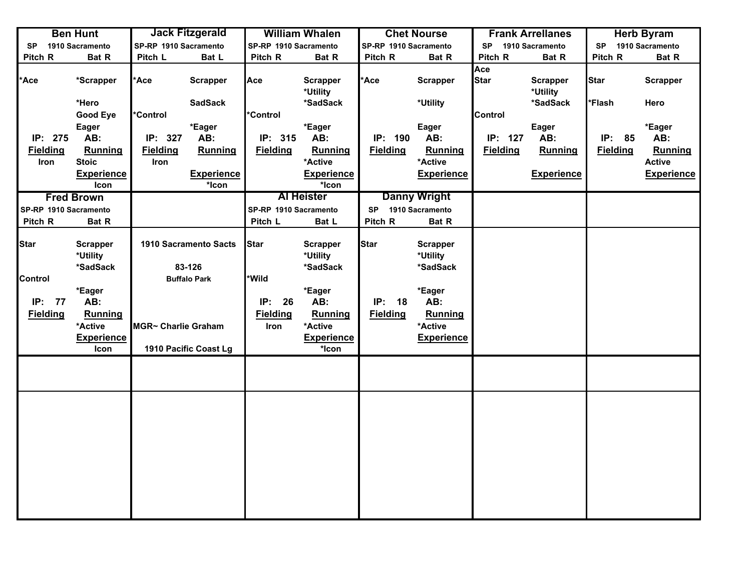|                       | <b>Ben Hunt</b>                         |                       | <b>Jack Fitzgerald</b>                 |                       | <b>William Whalen</b>                   |                       | <b>Chet Nourse</b>                      |                    | <b>Frank Arrellanes</b>     |                 | <b>Herb Byram</b> |
|-----------------------|-----------------------------------------|-----------------------|----------------------------------------|-----------------------|-----------------------------------------|-----------------------|-----------------------------------------|--------------------|-----------------------------|-----------------|-------------------|
| <b>SP</b>             | 1910 Sacramento                         | SP-RP 1910 Sacramento |                                        | SP-RP 1910 Sacramento |                                         | SP-RP 1910 Sacramento |                                         | <b>SP</b>          | 1910 Sacramento             | <b>SP</b>       | 1910 Sacramento   |
| Pitch R               | Bat R                                   | Pitch L               | Bat L                                  | Pitch R               | Bat R                                   | Pitch R               | Bat R                                   | Pitch R            | Bat R                       | Pitch R         | Bat R             |
| Ace*                  | *Scrapper                               | *Ace                  | <b>Scrapper</b>                        | Ace                   | <b>Scrapper</b><br>*Utility             | *Ace                  | <b>Scrapper</b>                         | Ace<br><b>Star</b> | <b>Scrapper</b><br>*Utility | Star            | <b>Scrapper</b>   |
|                       | *Hero                                   |                       | <b>SadSack</b>                         |                       | *SadSack                                |                       | *Utility                                |                    | *SadSack                    | *Flash          | Hero              |
|                       | <b>Good Eye</b>                         | <b>Control</b>        |                                        | *Control              |                                         |                       |                                         | <b>Control</b>     |                             |                 |                   |
|                       | <b>Eager</b>                            |                       | *Eager                                 |                       | *Eager                                  |                       | Eager                                   |                    | Eager                       |                 | *Eager            |
| IP: 275               | AB:                                     | IP: 327               | AB:                                    | IP: 315               | AB:                                     | IP: 190               | AB:                                     | IP: 127            | AB:                         | IP: 85          | AB:               |
| <b>Fielding</b>       | Running                                 | <b>Fielding</b>       | <b>Running</b>                         | <b>Fielding</b>       | Running                                 | <b>Fielding</b>       | Running                                 | <b>Fielding</b>    | <b>Running</b>              | <b>Fielding</b> | <b>Running</b>    |
| Iron                  | <b>Stoic</b>                            | Iron                  |                                        |                       | *Active                                 |                       | *Active                                 |                    |                             |                 | <b>Active</b>     |
|                       | <b>Experience</b>                       |                       | <b>Experience</b>                      |                       | <b>Experience</b>                       |                       | <b>Experience</b>                       |                    | <b>Experience</b>           |                 | <b>Experience</b> |
|                       | Icon                                    |                       | *Icon                                  |                       | *Icon                                   |                       |                                         |                    |                             |                 |                   |
|                       | <b>Fred Brown</b>                       |                       |                                        |                       | <b>Al Heister</b>                       |                       | <b>Danny Wright</b>                     |                    |                             |                 |                   |
| SP-RP 1910 Sacramento |                                         |                       |                                        | SP-RP 1910 Sacramento |                                         | SP 1910 Sacramento    |                                         |                    |                             |                 |                   |
| Pitch R               | Bat R                                   |                       |                                        | Pitch L               | Bat L                                   | Pitch R               | Bat R                                   |                    |                             |                 |                   |
| <b>Star</b>           | <b>Scrapper</b><br>*Utility<br>*SadSack |                       | <b>1910 Sacramento Sacts</b><br>83-126 | <b>Star</b>           | <b>Scrapper</b><br>*Utility<br>*SadSack | <b>Star</b>           | <b>Scrapper</b><br>*Utility<br>*SadSack |                    |                             |                 |                   |
| <b>Control</b>        |                                         |                       | <b>Buffalo Park</b>                    | *Wild                 |                                         |                       |                                         |                    |                             |                 |                   |
|                       | *Eager                                  |                       |                                        |                       | *Eager                                  |                       | *Eager                                  |                    |                             |                 |                   |
| IP: 77                | AB:                                     |                       |                                        | IP:<br>26             | AB:                                     | IP: 18                | AB:                                     |                    |                             |                 |                   |
| <b>Fielding</b>       | Running                                 |                       |                                        | <b>Fielding</b>       | Running                                 | <b>Fielding</b>       | Running                                 |                    |                             |                 |                   |
|                       | *Active                                 | MGR~ Charlie Graham   |                                        | Iron                  | *Active                                 |                       | *Active                                 |                    |                             |                 |                   |
|                       | <b>Experience</b>                       |                       |                                        |                       | <b>Experience</b>                       |                       | <b>Experience</b>                       |                    |                             |                 |                   |
|                       | Icon                                    |                       | 1910 Pacific Coast Lg                  |                       | *Icon                                   |                       |                                         |                    |                             |                 |                   |
|                       |                                         |                       |                                        |                       |                                         |                       |                                         |                    |                             |                 |                   |
|                       |                                         |                       |                                        |                       |                                         |                       |                                         |                    |                             |                 |                   |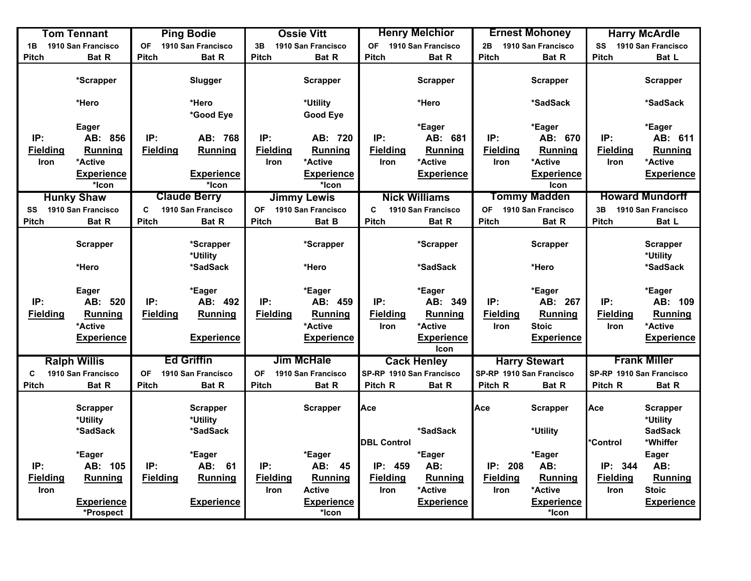|                 | <b>Tom Tennant</b>                      |                 | <b>Ping Bodie</b>                       |                 | <b>Ossie Vitt</b>                           |                    | <b>Henry Melchior</b>        |                 | <b>Ernest Mohoney</b>                 |                          | <b>Harry McArdle</b>                          |
|-----------------|-----------------------------------------|-----------------|-----------------------------------------|-----------------|---------------------------------------------|--------------------|------------------------------|-----------------|---------------------------------------|--------------------------|-----------------------------------------------|
| 1B              | 1910 San Francisco                      | <b>OF</b>       | 1910 San Francisco                      | 3B              | 1910 San Francisco                          | <b>OF</b>          | 1910 San Francisco           | 2B              | 1910 San Francisco                    | SS                       | 1910 San Francisco                            |
| <b>Pitch</b>    | Bat R                                   | <b>Pitch</b>    | Bat R                                   | <b>Pitch</b>    | <b>Bat R</b>                                | <b>Pitch</b>       | Bat R                        | <b>Pitch</b>    | <b>Bat R</b>                          | <b>Pitch</b>             | Bat L                                         |
|                 | *Scrapper                               |                 | Slugger                                 |                 | <b>Scrapper</b>                             |                    | <b>Scrapper</b>              |                 | <b>Scrapper</b>                       |                          | <b>Scrapper</b>                               |
|                 | *Hero                                   |                 | *Hero<br>*Good Eye                      |                 | *Utility<br><b>Good Eye</b>                 |                    | *Hero                        |                 | *SadSack                              |                          | *SadSack                                      |
|                 | Eager                                   |                 |                                         |                 |                                             |                    | *Eager                       |                 | *Eager                                |                          | *Eager                                        |
| IP:             | AB: 856                                 | IP:             | AB: 768                                 | IP:             | AB: 720                                     | IP:                | AB: 681                      | IP:             | AB: 670                               | IP:                      | AB: 611                                       |
| <b>Fielding</b> | <b>Running</b>                          | <b>Fielding</b> | <b>Running</b>                          | <b>Fielding</b> | Running                                     | <b>Fielding</b>    | Running                      | <b>Fielding</b> | Running                               | <b>Fielding</b>          | Running                                       |
| Iron            | *Active                                 |                 |                                         | <b>Iron</b>     | *Active                                     | Iron               | *Active                      | <b>Iron</b>     | *Active                               | Iron                     | *Active                                       |
|                 | <u>Experience</u>                       |                 | <b>Experience</b>                       |                 | <b>Experience</b>                           |                    | <b>Experience</b>            |                 | <b>Experience</b>                     |                          | <b>Experience</b>                             |
|                 | *Icon                                   |                 | *Icon                                   |                 | *Icon                                       |                    |                              |                 | Icon                                  |                          |                                               |
|                 | <b>Hunky Shaw</b>                       |                 | <b>Claude Berry</b>                     |                 | <b>Jimmy Lewis</b>                          |                    | <b>Nick Williams</b>         |                 | <b>Tommy Madden</b>                   |                          | <b>Howard Mundorff</b>                        |
| SS              | 1910 San Francisco                      | C               | 1910 San Francisco                      | <b>OF</b>       | 1910 San Francisco                          | C                  | 1910 San Francisco           | OF              | 1910 San Francisco                    | 3B                       | 1910 San Francisco                            |
| <b>Pitch</b>    | Bat R                                   | <b>Pitch</b>    | Bat R                                   | <b>Pitch</b>    | <b>Bat B</b>                                | <b>Pitch</b>       | Bat R                        | <b>Pitch</b>    | Bat R                                 | <b>Pitch</b>             | Bat L                                         |
|                 | <b>Scrapper</b>                         |                 | *Scrapper<br>*Utility                   |                 | *Scrapper                                   |                    | *Scrapper                    |                 | <b>Scrapper</b>                       |                          | <b>Scrapper</b><br>*Utility                   |
|                 | *Hero                                   |                 | *SadSack                                |                 | *Hero                                       |                    | *SadSack                     |                 | *Hero                                 |                          | *SadSack                                      |
| IP:             | Eager<br>AB: 520                        | IP:             | *Eager<br>AB: 492                       | IP:             | *Eager<br>AB: 459                           | IP:                | *Eager<br>AB: 349            | IP:             | *Eager<br>AB: 267                     | IP:                      | *Eager<br>AB: 109                             |
| <b>Fielding</b> | Running                                 | <b>Fielding</b> | <b>Running</b>                          | <b>Fielding</b> | Running                                     | <b>Fielding</b>    | Running                      | <b>Fielding</b> | <b>Running</b>                        | <b>Fielding</b>          | Running                                       |
|                 | *Active                                 |                 |                                         |                 | *Active                                     | <b>Iron</b>        | *Active                      | Iron            | <b>Stoic</b>                          | Iron                     | *Active                                       |
|                 | <b>Experience</b>                       |                 | <b>Experience</b>                       |                 | <b>Experience</b>                           |                    | <b>Experience</b><br>Icon    |                 | <b>Experience</b>                     |                          | <b>Experience</b>                             |
|                 | <b>Ralph Willis</b>                     |                 | <b>Ed Griffin</b>                       |                 | <b>Jim McHale</b>                           |                    | <b>Cack Henley</b>           |                 | <b>Harry Stewart</b>                  |                          | <b>Frank Miller</b>                           |
| C               | 1910 San Francisco                      | <b>OF</b>       | 1910 San Francisco                      | <b>OF</b>       | 1910 San Francisco                          |                    | SP-RP 1910 San Francisco     |                 | SP-RP 1910 San Francisco              | SP-RP 1910 San Francisco |                                               |
| <b>Pitch</b>    | <b>Bat R</b>                            | <b>Pitch</b>    | Bat R                                   | <b>Pitch</b>    | Bat R                                       | Pitch R            | <b>Bat R</b>                 | Pitch R         | <b>Bat R</b>                          | Pitch R                  | Bat R                                         |
|                 | <b>Scrapper</b><br>*Utility<br>*SadSack |                 | <b>Scrapper</b><br>*Utility<br>*SadSack |                 | <b>Scrapper</b>                             | Ace                | *SadSack                     | Ace             | Scrapper<br>*Utility                  | Ace                      | <b>Scrapper</b><br>*Utility<br><b>SadSack</b> |
|                 |                                         |                 |                                         |                 |                                             | <b>DBL Control</b> |                              |                 |                                       | *Control                 | *Whiffer                                      |
|                 | *Eager                                  |                 | *Eager                                  |                 | *Eager                                      |                    | *Eager                       |                 | *Eager                                |                          | Eager                                         |
| IP:             | AB: 105                                 | IP:             | AB:<br>61                               | IP:             | AB:<br>45                                   | IP: 459            | AB:                          | IP:<br>208      | AB:                                   | IP: 344                  | AB:                                           |
| <b>Fielding</b> | Running                                 | <b>Fielding</b> | <b>Running</b>                          | <b>Fielding</b> | Running                                     | <b>Fielding</b>    | Running                      | <b>Fielding</b> | Running                               | <b>Fielding</b>          | <b>Running</b>                                |
| Iron            | <b>Experience</b><br>*Prospect          |                 | <b>Experience</b>                       | Iron            | <b>Active</b><br><b>Experience</b><br>*Icon | <b>Iron</b>        | *Active<br><b>Experience</b> | Iron            | *Active<br><b>Experience</b><br>*Icon | Iron                     | <b>Stoic</b><br><b>Experience</b>             |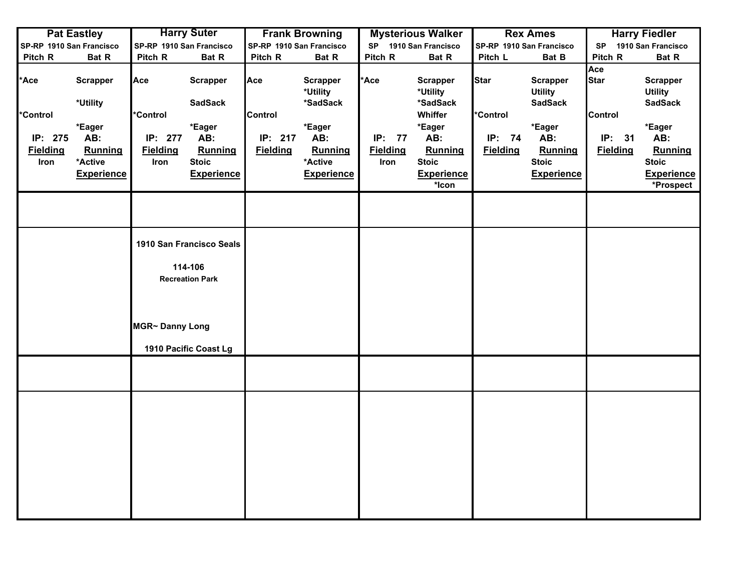|                 | <b>Pat Eastley</b>       |                          | <b>Harry Suter</b>       |                          | <b>Frank Browning</b>       |                 | <b>Mysterious Walker</b>    |                 | <b>Rex Ames</b>                   |                    | <b>Harry Fiedler</b>              |
|-----------------|--------------------------|--------------------------|--------------------------|--------------------------|-----------------------------|-----------------|-----------------------------|-----------------|-----------------------------------|--------------------|-----------------------------------|
|                 | SP-RP 1910 San Francisco | SP-RP 1910 San Francisco |                          | SP-RP 1910 San Francisco |                             | <b>SP</b>       | 1910 San Francisco          |                 | SP-RP 1910 San Francisco          | <b>SP</b>          | 1910 San Francisco                |
| Pitch R         | Bat R                    | Pitch R                  | Bat R                    | Pitch R                  | Bat R                       | Pitch R         | Bat R                       | Pitch L         | Bat B                             | Pitch R            | Bat R                             |
| *Ace            | <b>Scrapper</b>          | Ace                      | <b>Scrapper</b>          | Ace                      | <b>Scrapper</b><br>*Utility | *Ace            | <b>Scrapper</b><br>*Utility | <b>Star</b>     | <b>Scrapper</b><br><b>Utility</b> | Ace<br><b>Star</b> | <b>Scrapper</b><br><b>Utility</b> |
| <b>Control</b>  | *Utility                 | <b>Control</b>           | <b>SadSack</b>           | <b>Control</b>           | *SadSack                    |                 | *SadSack<br>Whiffer         | *Control        | <b>SadSack</b>                    | <b>Control</b>     | <b>SadSack</b>                    |
|                 | *Eager                   |                          | *Eager                   |                          | *Eager                      |                 | *Eager                      |                 | *Eager                            |                    | *Eager                            |
| IP: 275         | AB:                      | IP: 277                  | AB:                      | IP: 217                  | AB:                         | IP: 77          | AB:                         | IP: 74          | AB:                               | IP: 31             | AB:                               |
| <b>Fielding</b> | <b>Running</b>           | <b>Fielding</b>          | Running                  | <b>Fielding</b>          | <b>Running</b>              | <b>Fielding</b> | Running                     | <b>Fielding</b> | <b>Running</b>                    | <b>Fielding</b>    | Running                           |
| Iron            | *Active                  | Iron                     | <b>Stoic</b>             |                          | *Active                     | Iron            | <b>Stoic</b>                |                 | <b>Stoic</b>                      |                    | <b>Stoic</b>                      |
|                 | <b>Experience</b>        |                          | <b>Experience</b>        |                          | <b>Experience</b>           |                 | <b>Experience</b><br>*Icon  |                 | <b>Experience</b>                 |                    | <b>Experience</b><br>*Prospect    |
|                 |                          |                          |                          |                          |                             |                 |                             |                 |                                   |                    |                                   |
|                 |                          |                          | 1910 San Francisco Seals |                          |                             |                 |                             |                 |                                   |                    |                                   |
|                 |                          |                          | 114-106                  |                          |                             |                 |                             |                 |                                   |                    |                                   |
|                 |                          |                          | <b>Recreation Park</b>   |                          |                             |                 |                             |                 |                                   |                    |                                   |
|                 |                          |                          |                          |                          |                             |                 |                             |                 |                                   |                    |                                   |
|                 |                          | MGR~ Danny Long          |                          |                          |                             |                 |                             |                 |                                   |                    |                                   |
|                 |                          |                          | 1910 Pacific Coast Lg    |                          |                             |                 |                             |                 |                                   |                    |                                   |
|                 |                          |                          |                          |                          |                             |                 |                             |                 |                                   |                    |                                   |
|                 |                          |                          |                          |                          |                             |                 |                             |                 |                                   |                    |                                   |
|                 |                          |                          |                          |                          |                             |                 |                             |                 |                                   |                    |                                   |
|                 |                          |                          |                          |                          |                             |                 |                             |                 |                                   |                    |                                   |
|                 |                          |                          |                          |                          |                             |                 |                             |                 |                                   |                    |                                   |
|                 |                          |                          |                          |                          |                             |                 |                             |                 |                                   |                    |                                   |
|                 |                          |                          |                          |                          |                             |                 |                             |                 |                                   |                    |                                   |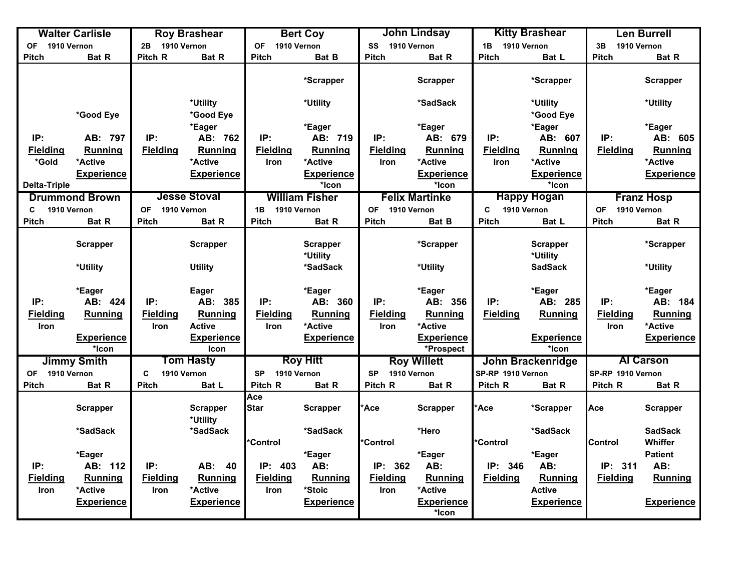|                          | <b>Walter Carlisle</b>     |                         | <b>Roy Brashear</b>              |                          | <b>Bert Coy</b>             |                          | <b>John Lindsay</b>            |                   | <b>Kitty Brashear</b>       |                          | <b>Len Burrell</b> |
|--------------------------|----------------------------|-------------------------|----------------------------------|--------------------------|-----------------------------|--------------------------|--------------------------------|-------------------|-----------------------------|--------------------------|--------------------|
| 1910 Vernon<br>OF        |                            | 1910 Vernon<br>2B       |                                  | 1910 Vernon<br><b>OF</b> |                             | SS<br>1910 Vernon        |                                | 1910 Vernon<br>1B |                             | 1910 Vernon<br>3B        |                    |
| <b>Pitch</b>             | <b>Bat R</b>               | Pitch R                 | <b>Bat R</b>                     | <b>Pitch</b>             | <b>Bat B</b>                | <b>Pitch</b>             | <b>Bat R</b>                   | <b>Pitch</b>      | Bat L                       | <b>Pitch</b>             | Bat R              |
|                          |                            |                         |                                  |                          | *Scrapper                   |                          | <b>Scrapper</b>                |                   | *Scrapper                   |                          | <b>Scrapper</b>    |
|                          |                            |                         | *Utility                         |                          | *Utility                    |                          | *SadSack                       |                   | *Utility                    |                          | *Utility           |
|                          | *Good Eye                  |                         | *Good Eye                        |                          |                             |                          |                                |                   | *Good Eye                   |                          |                    |
|                          |                            |                         | *Eager                           |                          | *Eager                      |                          | *Eager                         |                   | *Eager                      |                          | *Eager             |
| IP:                      | AB: 797                    | IP:                     | AB: 762                          | IP:                      | AB: 719                     | IP:                      | AB: 679                        | IP:               | AB: 607                     | IP:                      | AB: 605            |
| <b>Fielding</b>          | <b>Running</b>             | <b>Fielding</b>         | <b>Running</b>                   | <b>Fielding</b>          | Running                     | <b>Fielding</b>          | Running                        | <b>Fielding</b>   | <b>Running</b>              | <b>Fielding</b>          | <b>Running</b>     |
| *Gold                    | *Active                    |                         | *Active                          | <b>Iron</b>              | *Active                     | <b>Iron</b>              | *Active                        | <b>Iron</b>       | *Active                     |                          | *Active            |
|                          | <b>Experience</b>          |                         | <b>Experience</b>                |                          | <b>Experience</b>           |                          | <b>Experience</b>              |                   | <b>Experience</b>           |                          | <b>Experience</b>  |
| <b>Delta-Triple</b>      |                            |                         |                                  |                          | *Icon                       |                          | *Icon                          |                   | *Icon                       |                          |                    |
|                          | <b>Drummond Brown</b>      |                         | <b>Jesse Stoval</b>              |                          | <b>William Fisher</b>       |                          | <b>Felix Martinke</b>          |                   | <b>Happy Hogan</b>          |                          | <b>Franz Hosp</b>  |
| C                        | 1910 Vernon                | <b>OF</b>               | 1910 Vernon                      | 1910 Vernon<br>1B        |                             | 1910 Vernon<br><b>OF</b> |                                | C<br>1910 Vernon  |                             | <b>OF</b><br>1910 Vernon |                    |
| <b>Pitch</b>             | Bat R                      | <b>Pitch</b>            | <b>Bat R</b>                     | <b>Pitch</b>             | <b>Bat R</b>                | <b>Pitch</b>             | Bat B                          | Pitch             | Bat L                       | <b>Pitch</b>             | Bat R              |
|                          | <b>Scrapper</b>            |                         | <b>Scrapper</b>                  |                          | <b>Scrapper</b><br>*Utility |                          | *Scrapper                      |                   | <b>Scrapper</b><br>*Utility |                          | *Scrapper          |
|                          | *Utility                   |                         | <b>Utility</b>                   |                          | *SadSack                    |                          | *Utility                       |                   | <b>SadSack</b>              |                          | *Utility           |
|                          | *Eager                     |                         | Eager                            |                          | *Eager                      |                          | *Eager                         |                   | *Eager                      |                          | *Eager             |
| IP:                      | AB: 424                    | IP:                     | AB: 385                          | IP:                      | AB: 360                     | IP:                      | AB: 356                        | IP:               | AB: 285                     | IP:                      | AB: 184            |
| <b>Fielding</b>          | <b>Running</b>             | <b>Fielding</b>         | Running                          | <b>Fielding</b>          | Running                     | <b>Fielding</b>          | Running                        | <b>Fielding</b>   | Running                     | <b>Fielding</b>          | Running            |
| <b>Iron</b>              |                            | <b>Iron</b>             | <b>Active</b>                    | Iron                     | *Active                     | Iron                     | *Active                        |                   |                             | Iron                     | *Active            |
|                          | <b>Experience</b><br>*Icon |                         | <b>Experience</b><br><b>Icon</b> |                          | <b>Experience</b>           |                          | <b>Experience</b><br>*Prospect |                   | <b>Experience</b><br>*Icon  |                          | <b>Experience</b>  |
|                          | <b>Jimmy Smith</b>         |                         | <b>Tom Hasty</b>                 |                          | <b>Roy Hitt</b>             |                          | <b>Roy Willett</b>             |                   | John Brackenridge           |                          | <b>Al Carson</b>   |
| 1910 Vernon<br><b>OF</b> |                            | C                       | 1910 Vernon                      | 1910 Vernon<br><b>SP</b> |                             | <b>SP</b><br>1910 Vernon |                                | SP-RP 1910 Vernon |                             | SP-RP 1910 Vernon        |                    |
| <b>Pitch</b>             | Bat R                      | <b>Pitch</b>            | Bat L                            | Pitch R                  | Bat R                       | Pitch R                  | Bat R                          | Pitch R           | Bat R                       | Pitch R                  | Bat R              |
|                          | <b>Scrapper</b>            |                         | <b>Scrapper</b><br>*Utility      | Ace<br><b>Star</b>       | <b>Scrapper</b>             | <b>Ace</b>               | <b>Scrapper</b>                | <b>Ace</b>        | *Scrapper                   | Ace                      | <b>Scrapper</b>    |
|                          | *SadSack                   |                         | *SadSack                         |                          | *SadSack                    |                          | *Hero                          |                   | *SadSack                    |                          | <b>SadSack</b>     |
|                          |                            |                         |                                  | *Control                 |                             | <b>Control</b>           |                                | *Control          |                             | <b>Control</b>           | Whiffer            |
|                          | *Eager                     |                         |                                  |                          | *Eager                      |                          | *Eager                         |                   | *Eager                      |                          | <b>Patient</b>     |
| IP:                      | AB: 112                    | IP:                     | AB:<br>40                        | IP: 403                  | AB:                         | IP: 362                  | AB:                            | IP: 346           | AB:                         | IP: 311                  | AB:                |
| <b>Fielding</b><br>Iron  | Running<br>*Active         | <b>Fielding</b><br>Iron | <b>Running</b><br>*Active        | <b>Fielding</b><br>Iron  | Running<br>*Stoic           | <b>Fielding</b><br>Iron  | Running<br>*Active             | <b>Fielding</b>   | Running<br><b>Active</b>    | <b>Fielding</b>          | <b>Running</b>     |
|                          | <b>Experience</b>          |                         | <b>Experience</b>                |                          | <b>Experience</b>           |                          | <b>Experience</b><br>*Icon     |                   | <b>Experience</b>           |                          | <b>Experience</b>  |